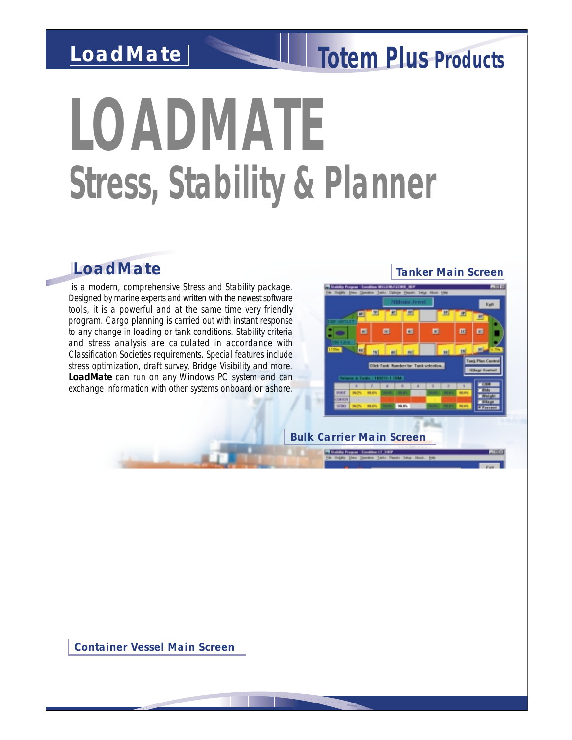## *LoadMate*

# *Totem Plus Products*

# *LOADMATE Stress, Stability & Planner*

#### *LoadMate LoadMate*

 is a modern, comprehensive Stress and Stability package. Designed by marine experts and written with the newest software tools, it is a powerful and at the same time very friendly program. Cargo planning is carried out with instant response to any change in loading or tank conditions. Stability criteria and stress analysis are calculated in accordance with Classification Societies requirements. Special features include stress optimization, draft survey, Bridge Visibility and more. **LoadMate** can run on any Windows PC system and can exchange information with other systems onboard or ashore.

*Tanker Main Screen*

*Bulk Carrier Main Screen*

*Container Vessel Main Screen*